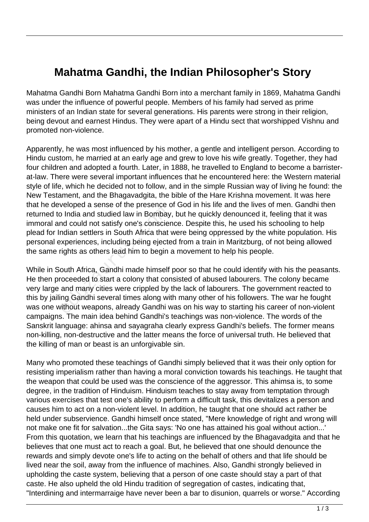## **Mahatma Gandhi, the Indian Philosopher's Story**

Mahatma Gandhi Born Mahatma Gandhi Born into a merchant family in 1869, Mahatma Gandhi was under the influence of powerful people. Members of his family had served as prime ministers of an Indian state for several generations. His parents were strong in their religion, being devout and earnest Hindus. They were apart of a Hindu sect that worshipped Vishnu and promoted non-violence.

Apparently, he was most influenced by his mother, a gentle and intelligent person. According to Hindu custom, he married at an early age and grew to love his wife greatly. Together, they had four children and adopted a fourth. Later, in 1888, he travelled to England to become a barristerat-law. There were several important influences that he encountered here: the Western material style of life, which he decided not to follow, and in the simple Russian way of living he found: the New Testament, and the Bhagavadgita, the bible of the Hare Krishna movement. It was here that he developed a sense of the presence of God in his life and the lives of men. Gandhi then returned to India and studied law in Bombay, but he quickly denounced it, feeling that it was immoral and could not satisfy one's conscience. Despite this, he used his schooling to help plead for Indian settlers in South Africa that were being oppressed by the white population. His personal experiences, including being ejected from a train in Maritzburg, of not being allowed the same rights as others lead him to begin a movement to help his people.

While in South Africa, Gandhi made himself poor so that he could identify with his the peasants. He then proceeded to start a colony that consisted of abused labourers. The colony became very large and many cities were crippled by the lack of labourers. The government reacted to this by jailing Gandhi several times along with many other of his followers. The war he fought was one without weapons, already Gandhi was on his way to starting his career of non-violent campaigns. The main idea behind Gandhi's teachings was non-violence. The words of the Sanskrit language: ahinsa and sayagraha clearly express Gandhi's beliefs. The former means non-killing, non-destructive and the latter means the force of universal truth. He believed that the killing of man or beast is an unforgivable sin. b India and studied law in Bombay<br>
and could not satisfy one's conscier<br>
radian settlers in South Africa that<br>
xperiences, including being ejecte<br>
rights as others lead him to begin<br>
bouth Africa, Gandhi made himself<br>
ocee

Many who promoted these teachings of Gandhi simply believed that it was their only option for resisting imperialism rather than having a moral conviction towards his teachings. He taught that the weapon that could be used was the conscience of the aggressor. This ahimsa is, to some degree, in the tradition of Hinduism. Hinduism teaches to stay away from temptation through various exercises that test one's ability to perform a difficult task, this devitalizes a person and causes him to act on a non-violent level. In addition, he taught that one should act rather be held under subservience. Gandhi himself once stated, "Mere knowledge of right and wrong will not make one fit for salvation...the Gita says: 'No one has attained his goal without action...' From this quotation, we learn that his teachings are influenced by the Bhagavadgita and that he believes that one must act to reach a goal. But, he believed that one should denounce the rewards and simply devote one's life to acting on the behalf of others and that life should be lived near the soil, away from the influence of machines. Also, Gandhi strongly believed in upholding the caste system, believing that a person of one caste should stay a part of that caste. He also upheld the old Hindu tradition of segregation of castes, indicating that, "Interdining and intermarraige have never been a bar to disunion, quarrels or worse." According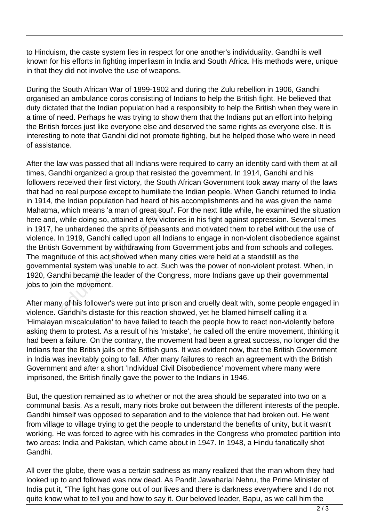to Hinduism, the caste system lies in respect for one another's individuality. Gandhi is well known for his efforts in fighting imperliasm in India and South Africa. His methods were, unique in that they did not involve the use of weapons.

During the South African War of 1899-1902 and during the Zulu rebellion in 1906, Gandhi organised an ambulance corps consisting of Indians to help the British fight. He believed that duty dictated that the Indian population had a responsibity to help the British when they were in a time of need. Perhaps he was trying to show them that the Indians put an effort into helping the British forces just like everyone else and deserved the same rights as everyone else. It is interesting to note that Gandhi did not promote fighting, but he helped those who were in need of assistance.

After the law was passed that all Indians were required to carry an identity card with them at all times, Gandhi organized a group that resisted the government. In 1914, Gandhi and his followers received their first victory, the South African Government took away many of the laws that had no real purpose except to humiliate the Indian people. When Gandhi returned to India in 1914, the Indian population had heard of his accomplishments and he was given the name Mahatma, which means 'a man of great soul'. For the next little while, he examined the situation here and, while doing so, attained a few victories in his fight against oppression. Several times in 1917, he unhardened the spirits of peasants and motivated them to rebel without the use of violence. In 1919, Gandhi called upon all Indians to engage in non-violent disobedience against the British Government by withdrawing from Government jobs and from schools and colleges. The magnitude of this act showed when many cities were held at a standstill as the governmental system was unable to act. Such was the power of non-violent protest. When, in 1920, Gandhi became the leader of the Congress, more Indians gave up their governmental jobs to join the movement. which means 'a man of great soul<br>while doing so, attained a few victern while doing so, attained a few victern<br>and 1919, Gandhi called upon all Incondent Sovernment by withdrawing from<br>itude of this act showed when man<br>tra

After many of his follower's were put into prison and cruelly dealt with, some people engaged in violence. Gandhi's distaste for this reaction showed, yet he blamed himself calling it a 'Himalayan miscalculation' to have failed to teach the people how to react non-violently before asking them to protest. As a result of his 'mistake', he called off the entire movement, thinking it had been a failure. On the contrary, the movement had been a great success, no longer did the Indians fear the British jails or the British guns. It was evident now, that the British Government in India was inevitably going to fall. After many failures to reach an agreement with the British Government and after a short 'Individual Civil Disobedience' movement where many were imprisoned, the British finally gave the power to the Indians in 1946.

But, the question remained as to whether or not the area should be separated into two on a communal basis. As a result, many riots broke out between the different interests of the people. Gandhi himself was opposed to separation and to the violence that had broken out. He went from village to village trying to get the people to understand the benefits of unity, but it wasn't working. He was forced to agree with his comrades in the Congress who promoted partition into two areas: India and Pakistan, which came about in 1947. In 1948, a Hindu fanatically shot Gandhi.

All over the globe, there was a certain sadness as many realized that the man whom they had looked up to and followed was now dead. As Pandit Jawaharlal Nehru, the Prime Minister of India put it, "The light has gone out of our lives and there is darkness everywhere and I do not quite know what to tell you and how to say it. Our beloved leader, Bapu, as we call him the